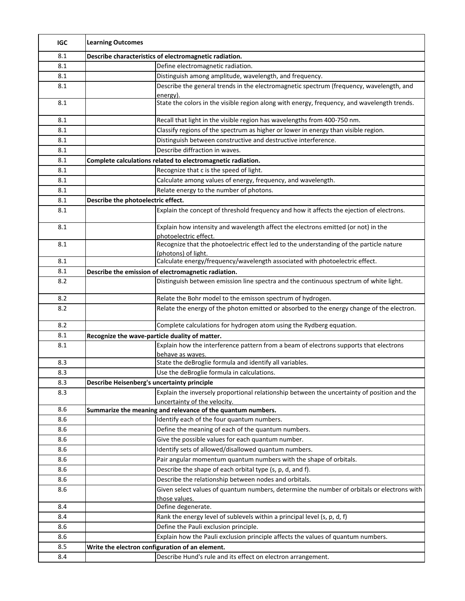| <b>IGC</b> | <b>Learning Outcomes</b>                               |                                                                                                                             |  |
|------------|--------------------------------------------------------|-----------------------------------------------------------------------------------------------------------------------------|--|
| 8.1        | Describe characteristics of electromagnetic radiation. |                                                                                                                             |  |
| 8.1        |                                                        | Define electromagnetic radiation.                                                                                           |  |
| 8.1        |                                                        | Distinguish among amplitude, wavelength, and frequency.                                                                     |  |
| 8.1        |                                                        | Describe the general trends in the electromagnetic spectrum (frequency, wavelength, and<br>energy).                         |  |
| 8.1        |                                                        | State the colors in the visible region along with energy, frequency, and wavelength trends.                                 |  |
| 8.1        |                                                        | Recall that light in the visible region has wavelengths from 400-750 nm.                                                    |  |
| 8.1        |                                                        | Classify regions of the spectrum as higher or lower in energy than visible region.                                          |  |
| 8.1        |                                                        | Distinguish between constructive and destructive interference.                                                              |  |
| 8.1        |                                                        | Describe diffraction in waves.                                                                                              |  |
| 8.1        |                                                        | Complete calculations related to electromagnetic radiation.                                                                 |  |
| 8.1        |                                                        | Recognize that c is the speed of light.                                                                                     |  |
| 8.1        |                                                        | Calculate among values of energy, frequency, and wavelength.                                                                |  |
| 8.1        |                                                        | Relate energy to the number of photons.                                                                                     |  |
| 8.1        | Describe the photoelectric effect.                     |                                                                                                                             |  |
| 8.1        |                                                        | Explain the concept of threshold frequency and how it affects the ejection of electrons.                                    |  |
| 8.1        |                                                        | Explain how intensity and wavelength affect the electrons emitted (or not) in the<br>photoelectric effect.                  |  |
| 8.1        |                                                        | Recognize that the photoelectric effect led to the understanding of the particle nature                                     |  |
|            |                                                        | (photons) of light                                                                                                          |  |
| 8.1        |                                                        | Calculate energy/frequency/wavelength associated with photoelectric effect.                                                 |  |
| 8.1        |                                                        | Describe the emission of electromagnetic radiation.                                                                         |  |
| 8.2        |                                                        | Distinguish between emission line spectra and the continuous spectrum of white light.                                       |  |
| 8.2        |                                                        | Relate the Bohr model to the emisson spectrum of hydrogen.                                                                  |  |
| 8.2        |                                                        | Relate the energy of the photon emitted or absorbed to the energy change of the electron.                                   |  |
| 8.2        |                                                        | Complete calculations for hydrogen atom using the Rydberg equation.                                                         |  |
| 8.1        | Recognize the wave-particle duality of matter.         |                                                                                                                             |  |
| 8.1        |                                                        | Explain how the interference pattern from a beam of electrons supports that electrons                                       |  |
|            |                                                        | behave as waves.                                                                                                            |  |
| 8.3        |                                                        | State the deBroglie formula and identify all variables.                                                                     |  |
| 8.3        |                                                        | Use the deBroglie formula in calculations.                                                                                  |  |
| 8.3        | Describe Heisenberg's uncertainty principle            |                                                                                                                             |  |
| 8.3        |                                                        | Explain the inversely proportional relationship between the uncertainty of position and the<br>uncertainty of the velocity. |  |
| 8.6        |                                                        | Summarize the meaning and relevance of the quantum numbers.                                                                 |  |
| 8.6        |                                                        | Identify each of the four quantum numbers.                                                                                  |  |
| 8.6        |                                                        | Define the meaning of each of the quantum numbers.                                                                          |  |
| 8.6        |                                                        | Give the possible values for each quantum number.                                                                           |  |
| 8.6        |                                                        | Identify sets of allowed/disallowed quantum numbers.                                                                        |  |
| 8.6        |                                                        | Pair angular momentum quantum numbers with the shape of orbitals.                                                           |  |
| 8.6        |                                                        | Describe the shape of each orbital type (s, p, d, and f).                                                                   |  |
| 8.6        |                                                        | Describe the relationship between nodes and orbitals.                                                                       |  |
| 8.6        |                                                        | Given select values of quantum numbers, determine the number of orbitals or electrons with<br>those values.                 |  |
| $8.4\,$    |                                                        | Define degenerate.                                                                                                          |  |
| 8.4        |                                                        | Rank the energy level of sublevels within a principal level (s, p, d, f)                                                    |  |
| 8.6        |                                                        | Define the Pauli exclusion principle.                                                                                       |  |
| 8.6        |                                                        | Explain how the Pauli exclusion principle affects the values of quantum numbers.                                            |  |
| 8.5        |                                                        | Write the electron configuration of an element.                                                                             |  |
| 8.4        |                                                        | Describe Hund's rule and its effect on electron arrangement.                                                                |  |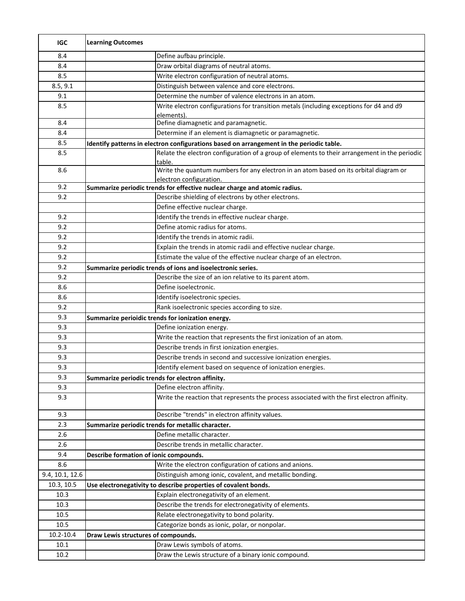| <b>IGC</b>      | <b>Learning Outcomes</b>               |                                                                                                       |
|-----------------|----------------------------------------|-------------------------------------------------------------------------------------------------------|
| 8.4             |                                        | Define aufbau principle.                                                                              |
| 8.4             |                                        | Draw orbital diagrams of neutral atoms.                                                               |
| 8.5             |                                        | Write electron configuration of neutral atoms.                                                        |
| 8.5, 9.1        |                                        | Distinguish between valence and core electrons.                                                       |
| 9.1             |                                        | Determine the number of valence electrons in an atom.                                                 |
| 8.5             |                                        | Write electron configurations for transition metals (including exceptions for d4 and d9<br>elements). |
| 8.4             |                                        | Define diamagnetic and paramagnetic.                                                                  |
| 8.4             |                                        | Determine if an element is diamagnetic or paramagnetic.                                               |
| 8.5             |                                        | Identify patterns in electron configurations based on arrangement in the periodic table.              |
| 8.5             |                                        | Relate the electron configuration of a group of elements to their arrangement in the periodic         |
|                 |                                        | table.                                                                                                |
| 8.6             |                                        | Write the quantum numbers for any electron in an atom based on its orbital diagram or                 |
|                 |                                        | electron configuration.                                                                               |
| 9.2             |                                        | Summarize periodic trends for effective nuclear charge and atomic radius.                             |
| 9.2             |                                        | Describe shielding of electrons by other electrons.                                                   |
|                 |                                        | Define effective nuclear charge.                                                                      |
| 9.2             |                                        | Identify the trends in effective nuclear charge.                                                      |
| 9.2             |                                        | Define atomic radius for atoms.                                                                       |
| 9.2             |                                        | Identify the trends in atomic radii.                                                                  |
| 9.2             |                                        | Explain the trends in atomic radii and effective nuclear charge.                                      |
| 9.2             |                                        | Estimate the value of the effective nuclear charge of an electron.                                    |
| 9.2             |                                        | Summarize periodic trends of ions and isoelectronic series.                                           |
| 9.2             |                                        | Describe the size of an ion relative to its parent atom.                                              |
| 8.6             |                                        | Define isoelectronic.                                                                                 |
| 8.6             |                                        | Identify isoelectronic species.                                                                       |
| 9.2             |                                        | Rank isoelectronic species according to size.                                                         |
| 9.3             |                                        | Summarize perioidic trends for ionization energy.                                                     |
| 9.3             |                                        | Define ionization energy.                                                                             |
| 9.3             |                                        | Write the reaction that represents the first ionization of an atom.                                   |
| 9.3             |                                        | Describe trends in first ionization energies.                                                         |
| 9.3             |                                        | Describe trends in second and successive ionization energies.                                         |
| 9.3             |                                        | Identify element based on sequence of ionization energies.                                            |
| 9.3             |                                        | Summarize periodic trends for electron affinity.                                                      |
| 9.3             |                                        | Define electron affinity.                                                                             |
| 9.3             |                                        | Write the reaction that represents the process associated with the first electron affinity.           |
| 9.3             |                                        | Describe "trends" in electron affinity values.                                                        |
| 2.3             |                                        | Summarize periodic trends for metallic character.                                                     |
| 2.6             |                                        | Define metallic character.                                                                            |
| 2.6             |                                        | Describe trends in metallic character.                                                                |
| 9.4             | Describe formation of ionic compounds. |                                                                                                       |
| 8.6             |                                        | Write the electron configuration of cations and anions.                                               |
| 9.4, 10.1, 12.6 |                                        | Distinguish among ionic, covalent, and metallic bonding.                                              |
| 10.3, 10.5      |                                        | Use electronegativity to describe properties of covalent bonds.                                       |
| 10.3            |                                        | Explain electronegativity of an element.                                                              |
| 10.3            |                                        | Describe the trends for electronegativity of elements.                                                |
| 10.5            |                                        | Relate electronegativity to bond polarity.                                                            |
| 10.5            |                                        | Categorize bonds as ionic, polar, or nonpolar.                                                        |
| 10.2-10.4       | Draw Lewis structures of compounds.    |                                                                                                       |
| 10.1            |                                        | Draw Lewis symbols of atoms.                                                                          |
| 10.2            |                                        | Draw the Lewis structure of a binary ionic compound.                                                  |
|                 |                                        |                                                                                                       |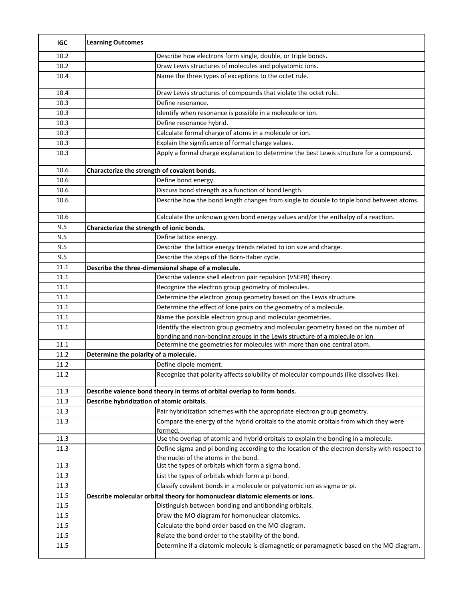| <b>IGC</b>   | <b>Learning Outcomes</b>                     |                                                                                                                                                        |
|--------------|----------------------------------------------|--------------------------------------------------------------------------------------------------------------------------------------------------------|
| 10.2         |                                              | Describe how electrons form single, double, or triple bonds.                                                                                           |
| 10.2         |                                              | Draw Lewis structures of molecules and polyatomic ions.                                                                                                |
| 10.4         |                                              | Name the three types of exceptions to the octet rule.                                                                                                  |
| 10.4         |                                              | Draw Lewis structures of compounds that violate the octet rule.                                                                                        |
| 10.3         |                                              | Define resonance.                                                                                                                                      |
| 10.3         |                                              | Identify when resonance is possible in a molecule or ion.                                                                                              |
| 10.3         |                                              | Define resonance hybrid.                                                                                                                               |
| 10.3         |                                              | Calculate formal charge of atoms in a molecule or ion.                                                                                                 |
| 10.3         |                                              | Explain the significance of formal charge values.                                                                                                      |
| 10.3         |                                              | Apply a formal charge explanation to determine the best Lewis structure for a compound.                                                                |
| 10.6         | Characterize the strength of covalent bonds. |                                                                                                                                                        |
| 10.6         |                                              | Define bond energy.                                                                                                                                    |
| 10.6         |                                              | Discuss bond strength as a function of bond length.                                                                                                    |
| 10.6         |                                              | Describe how the bond length changes from single to double to triple bond between atoms.                                                               |
| 10.6         |                                              | Calculate the unknown given bond energy values and/or the enthalpy of a reaction.                                                                      |
| 9.5          | Characterize the strength of ionic bonds.    |                                                                                                                                                        |
| 9.5          |                                              | Define lattice energy.                                                                                                                                 |
| 9.5          |                                              | Describe the lattice energy trends related to ion size and charge.                                                                                     |
| 9.5          |                                              | Describe the steps of the Born-Haber cycle.                                                                                                            |
| 11.1         |                                              | Describe the three-dimensional shape of a molecule.                                                                                                    |
| 11.1         |                                              | Describe valence shell electron pair repulsion (VSEPR) theory.                                                                                         |
| 11.1         |                                              | Recognize the electron group geometry of molecules.                                                                                                    |
| 11.1         |                                              | Determine the electron group geometry based on the Lewis structure.                                                                                    |
| 11.1         |                                              | Determine the effect of lone pairs on the geometry of a molecule.                                                                                      |
| 11.1         |                                              | Name the possible electron group and molecular geometries.                                                                                             |
| 11.1         |                                              | Identify the electron group geometry and molecular geometry based on the number of                                                                     |
| 11.1         |                                              | bonding and non-bonding groups in the Lewis structure of a molecule or ion.<br>Determine the geometries for molecules with more than one central atom. |
| 11.2         | Determine the polarity of a molecule.        |                                                                                                                                                        |
| 11.2         |                                              | Define dipole moment.                                                                                                                                  |
| 11.2         |                                              | Recognize that polarity affects solubility of molecular compounds (like dissolves like).                                                               |
|              |                                              |                                                                                                                                                        |
| 11.3         |                                              | Describe valence bond theory in terms of orbital overlap to form bonds.                                                                                |
| 11.3         | Describe hybridization of atomic orbitals.   |                                                                                                                                                        |
| 11.3         |                                              | Pair hybridization schemes with the appropriate electron group geometry.                                                                               |
| 11.3         |                                              | Compare the energy of the hybrid orbitals to the atomic orbitals from which they were<br>formed.                                                       |
| 11.3         |                                              | Use the overlap of atomic and hybrid orbitals to explain the bonding in a molecule.                                                                    |
| 11.3         |                                              | Define sigma and pi bonding according to the location of the electron density with respect to                                                          |
| 11.3         |                                              | the nuclei of the atoms in the bond.<br>List the types of orbitals which form a sigma bond.                                                            |
|              |                                              |                                                                                                                                                        |
| 11.3         |                                              | List the types of orbitals which form a pi bond.                                                                                                       |
| 11.3         |                                              | Classify covalent bonds in a molecule or polyatomic ion as sigma or pi.                                                                                |
| 11.5         |                                              | Describe molecular orbital theory for homonuclear diatomic elements or ions.                                                                           |
| 11.5<br>11.5 |                                              | Distinguish between bonding and antibonding orbitals.<br>Draw the MO diagram for homonuclear diatomics.                                                |
|              |                                              |                                                                                                                                                        |
| 11.5         |                                              | Calculate the bond order based on the MO diagram.<br>Relate the bond order to the stability of the bond.                                               |
| 11.5         |                                              |                                                                                                                                                        |
| 11.5         |                                              | Determine if a diatomic molecule is diamagnetic or paramagnetic based on the MO diagram.                                                               |